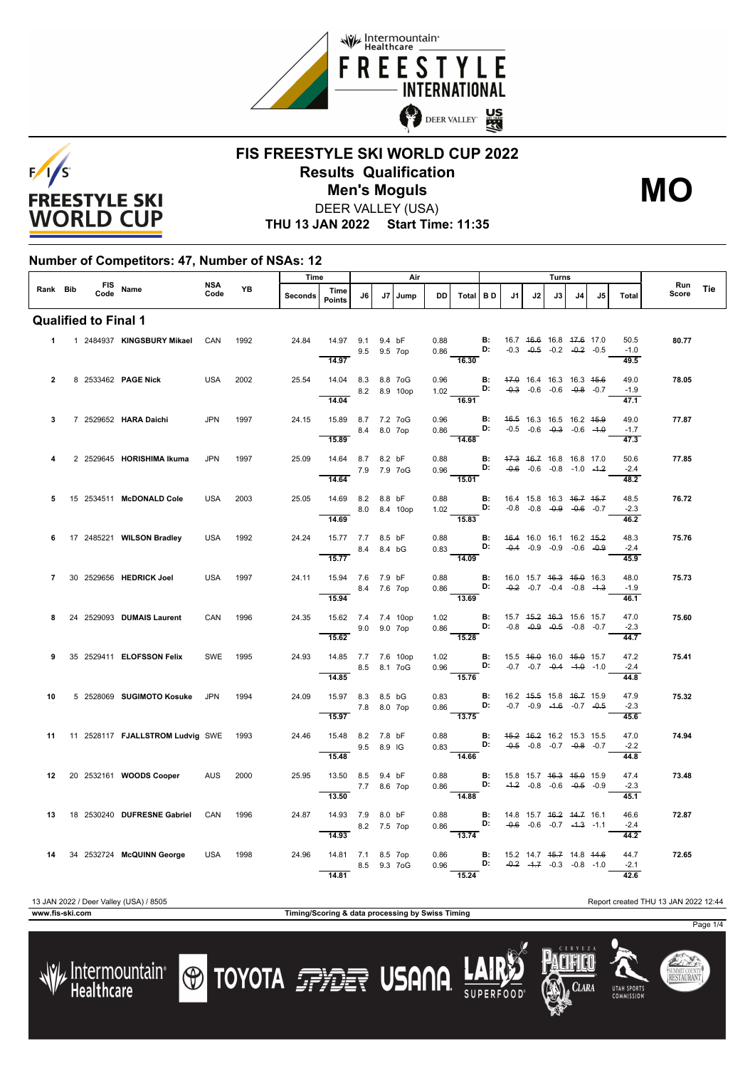





DEER VALLEY (USA)

**THU 13 JAN 2022 Start Time: 11:35**

#### **Number of Competitors: 47, Number of NSAs: 12**

|                |  |                             |                                              | NSA        |           | Time    |                                                              |    |    | Air         |                 |                                                                                                                                                                  |                                                          |                                                |                                                                | Turns |                |                                                |                                                                   |              |     |
|----------------|--|-----------------------------|----------------------------------------------|------------|-----------|---------|--------------------------------------------------------------|----|----|-------------|-----------------|------------------------------------------------------------------------------------------------------------------------------------------------------------------|----------------------------------------------------------|------------------------------------------------|----------------------------------------------------------------|-------|----------------|------------------------------------------------|-------------------------------------------------------------------|--------------|-----|
| Rank Bib       |  |                             | FIS Name                                     | Code       | <b>YB</b> | Seconds | Time<br>Points                                               | J6 | J7 | <b>Jumn</b> | <b>DD</b>       | Total BD                                                                                                                                                         |                                                          | J1                                             | J2                                                             | J3    | J <sub>4</sub> | .15                                            | Total                                                             | Run<br>Score | Tie |
|                |  | <b>Qualified to Final 1</b> |                                              |            |           |         |                                                              |    |    |             |                 |                                                                                                                                                                  |                                                          |                                                |                                                                |       |                |                                                |                                                                   |              |     |
|                |  |                             | 1 1 2484937 KINGSBURY Mikael CAN             |            | 1992      | 24.84   | 14.97 9.1 9.4 bF<br>9.5 9.5 7op<br>14.97                     |    |    |             |                 | 0.88 <b>B:</b> 16.7 46.6 16.8 47.6 17.0<br>$0.86$ D: $-0.3$ $-0.5$ $-0.2$ $-0.2$ $-0.2$ $-0.5$<br>16.30                                                          |                                                          |                                                |                                                                |       |                |                                                | 50.5<br>$-1.0$<br>49.5                                            | 80.77        |     |
| $\overline{2}$ |  |                             | 8 2533462 PAGE Nick                          | USA 2002   |           | 25.54   | 14.04 8.3 8.8 7oG<br>8.2 8.9 10op<br>14.04                   |    |    |             |                 | 0.96 <b>B:</b> $\frac{47.0}{1.02}$ <b>B:</b> $\frac{47.0}{0.3}$ 16.4 16.3 16.3 45.6<br>1.02 <b>D:</b> $\frac{0.3}{0.3}$ -0.6 -0.6 -0. <del>8</del> -0.7<br>16.91 |                                                          |                                                |                                                                |       |                |                                                | 49.0<br>$-1.9$<br>47.1                                            | 78.05        |     |
| 3              |  |                             | 7 2529652 HARA Daichi                        | <b>JPN</b> | 1997      | 24.15   | 15.89 8.7 7.2 7oG<br>$-$ 8.4 8.0 7op<br>15.89                |    |    |             |                 | 0.96 <b>B:</b> 46.5 16.3 16.5 16.2 45.9<br>0.86 <b>D:</b> -0.5 -0.6 -0.3 -0.6 -4.0<br>$\overline{14.68}$                                                         |                                                          |                                                |                                                                |       |                |                                                | 49.0<br>$-1.7$<br>47.3                                            | 77.87        |     |
| 4              |  |                             | 2 2529645 HORISHIMA Ikuma                    | <b>JPN</b> | 1997      | 25.09   | 14.64 8.7 8.2 bF<br>7.9 7.9 7oG<br>14.64                     |    |    |             |                 | $0.88$ B:<br>0.96 D:<br>15.01                                                                                                                                    |                                                          |                                                | 47.3 46.7 16.8 16.8 17.0<br>$-0.6$ $-0.6$ $-0.8$ $-1.0$ $-4.2$ |       |                |                                                | 50.6<br>$-2.4$<br>48.2                                            | 77.85        |     |
|                |  |                             | 15 2534511 McDONALD Cole                     | USA        | 2003      | 25.05   | 14.69 8.2 8.8 bF<br>8.0 8.4 10op<br>14.69                    |    |    |             | 0.88            | $1.02$ D: $-0.8$ $-0.8$ $-0.8$ $-0.9$ $-0.6$ $-0.7$<br>$\overline{15.83}$                                                                                        | <b>B:</b> 16.4 15.8 16.3 46.7 45.7                       |                                                |                                                                |       |                |                                                | 48.5<br>$-2.3$<br>46.2                                            | 76.72        |     |
| 6              |  |                             | 17 2485221 WILSON Bradley                    | <b>USA</b> | 1992      | 24.24   | 15.77 7.7 8.5 bF<br>8.4 8.4 bG<br>15.77                      |    |    |             | 0.88            | $\frac{1}{14.09}$                                                                                                                                                |                                                          |                                                |                                                                |       |                | <b>B:</b> 46.4 16.0 16.1 16.2 4 <del>5.2</del> | 48.3<br>0.83 D: $-0.4$ $-0.9$ $-0.9$ $-0.6$ $-0.9$ $-2.4$<br>45.9 | 75.76        |     |
| $\overline{7}$ |  |                             | 30 2529656 HEDRICK Joel                      | USA        | 1997      |         | 24.11  15.94  7.6  7.9 bF<br>$\frac{8.4}{15.94}$ 8.4 7.6 7op |    |    |             |                 | 0.88 <b>B:</b><br>0.86 <b>D:</b><br>13.69                                                                                                                        |                                                          | 16.0 15.7 <del>16.3</del> <del>15.0</del> 16.3 |                                                                |       |                | $-0.2$ $-0.7$ $-0.4$ $-0.8$ $-1.3$             | 48.0<br>$-1.9$<br>46.1                                            | 75.73        |     |
| 8              |  |                             | 24 2529093 DUMAIS Laurent                    | CAN        | 1996      | 24.35   | 15.62 7.4 7.4 10op<br>9.0 9.0 7op<br>$15.\overline{62}$      |    |    |             |                 | 1.02 <b>B</b> : 15.7 4 <del>5.2</del> 46.3 15.6 15.7<br>0.86 <b>D:</b> -0.8 -0.9 -0.5 -0.8 -0.7<br>$\overline{15.28}$                                            |                                                          |                                                |                                                                |       |                |                                                | 47.0<br>$-2.3$<br>44.7                                            | 75.60        |     |
| 9              |  |                             | 35 2529411 ELOFSSON Felix                    | SWE        | 1995      | 24.93   | 14.85 7.7 7.6 10op<br>8.5 8.1 7oG<br>14.85                   |    |    |             |                 | 1.02 <b>B</b> : 15.5 46.0 16.0 45.0 15.7<br>0.96 <b>D:</b> -0.7 -0.7 0.1<br>15.76                                                                                |                                                          |                                                |                                                                |       |                |                                                | 47.2<br>$-2.4$<br>44.8                                            | 75.41        |     |
| 10             |  |                             | 5 2528069 SUGIMOTO Kosuke                    | <b>JPN</b> | 1994      | 24.09   | 15.97 8.3 8.5 bG<br>7.8 8.0 7op<br>15.97                     |    |    |             | <b>Contract</b> | 0.83 <b>B:</b> 16.2 4 <del>5.5</del> 15.8 46.7 15.9<br>0.86 <b>D:</b> -0.7 -0.9 -4.6 -0.7 -0.5<br>13.75                                                          |                                                          |                                                |                                                                |       |                |                                                | 47.9<br>$-2.3$<br>45.6                                            | 75.32        |     |
| 11             |  |                             | 11 2528117 <b>FJALLSTROM Ludvig SWE</b> 1993 |            |           | 24.46   | 15.48 8.2 7.8 bF<br>9.5 8.9 IG<br>15.48                      |    |    |             | 0.88            | 0.83 <b>D:</b> $-0.5$ -0.8 -0.7 -0.8 -0.7<br>14.66                                                                                                               | <b>B:</b> 45.2 46.2 16.2 15.3 15.5                       |                                                |                                                                |       |                |                                                | 47.0<br>$-2.2$<br>44.8                                            | 74.94        |     |
|                |  |                             | 12 20 2532161 WOODS Cooper                   | <b>AUS</b> | 2000      | 25.95   | 13.50 8.5 9.4 bF<br>7.7 8.6 7op                              |    |    |             |                 | 0.88 <b>B:</b> 15.8 15.7 <del>16.3 15.0</del> 15.9<br>0.86 <b>D:</b> $-4.2$ $-0.8$ $-0.6$ $-0.5$ $-0.9$<br>$-14.88$                                              |                                                          |                                                |                                                                |       |                |                                                | 47.4<br>$-2.3$<br>45.1                                            | 73.48        |     |
| 13             |  |                             | 18 2530240 DUFRESNE Gabriel CAN              |            | 1996      | 24.87   | 14.93 7.9 8.0 bF<br>8.2 7.5 7op<br>14.93                     |    |    |             |                 | 0.88 <b>B:</b> 14.8 15.7 <del>16.2 14.7</del> 16.1<br>0.86 <b>D:</b> -0.6 -0.6 -0.7 -1.3 -1.1<br>$\frac{1000}{13.74}$                                            |                                                          |                                                |                                                                |       |                |                                                | 46.6<br>$-2.4$<br>44.2                                            | 72.87        |     |
|                |  |                             | 34 2532724 McQUINN George                    | USA        | 1998      | 24.96   | 14.81 7.1 8.5 7op<br>8.5 9.3 7 o G<br>14.81                  |    |    |             | 0.86<br>0.96    | <b>D:</b> $-0.2$ $-4.7$ $-0.3$ $-0.8$ $-1.0$<br>$-15.24$                                                                                                         | <b>B:</b> 15.2 14.7 <del>15.7</del> 14.8 <del>14.6</del> |                                                |                                                                |       |                |                                                | 44.7<br>$-2.1$<br>42.6                                            | 72.65        |     |

13 JAN 2022 / Deer Valley (USA) / 8505 Report created THU 13 JAN 2022 12:44

Lintermountain<br>Healthcare

**www.fis-ski.com Timing/Scoring & data processing by Swiss Timing**

**TOYOTA FIRE USANA** 

Clara

**UTAH SPORT** 

Page 1/4

SUMMIT COUNT<br>**RESTAURAN**T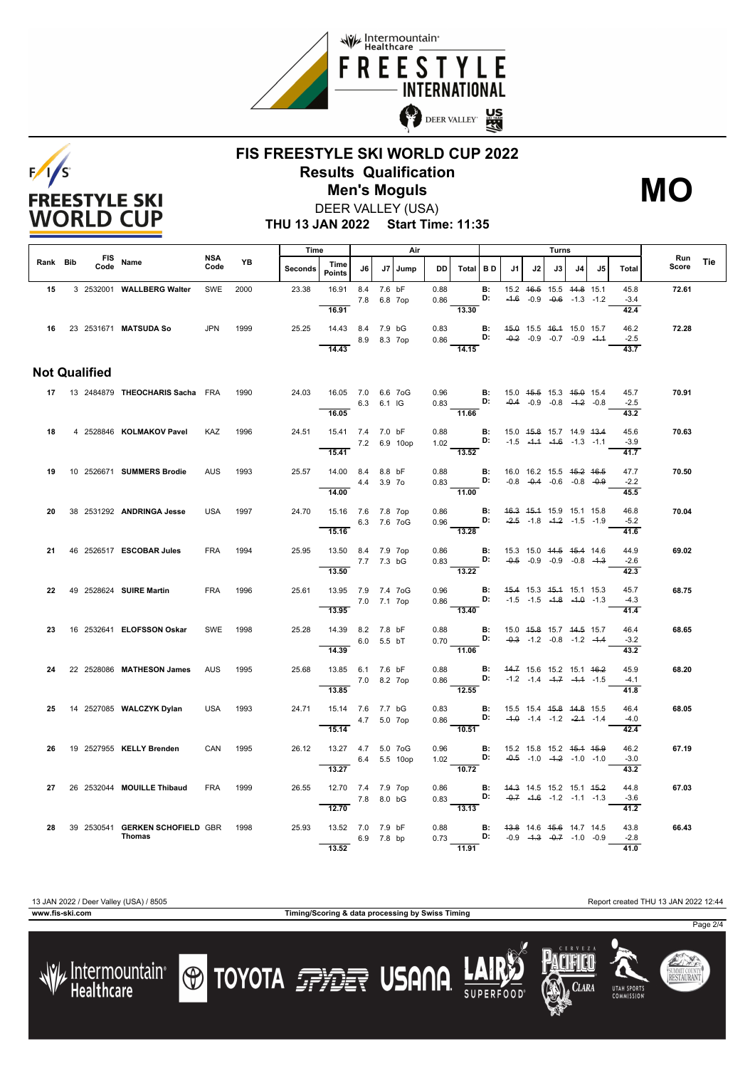





**THU 13 JAN 2022 Start Time: 11:35** DEER VALLEY (USA)

|          |                      |                                    |             |      | Time    |                                          |                           |             | Air          |              |                                                                                                         | Turns                                         |                          |    |    |                                                      |    |                        |              |     |
|----------|----------------------|------------------------------------|-------------|------|---------|------------------------------------------|---------------------------|-------------|--------------|--------------|---------------------------------------------------------------------------------------------------------|-----------------------------------------------|--------------------------|----|----|------------------------------------------------------|----|------------------------|--------------|-----|
| Rank Bib | Code                 | FIS Name                           | NSA<br>Code | YB   | Seconds | Time<br><b>Points</b>                    | J6                        |             | J7   Jump    | <b>DD</b>    | Total BD                                                                                                |                                               | J1                       | J2 | J3 | J4                                                   | J5 | Total                  | Run<br>Score | Tie |
| 15       |                      | 3 2532001 WALLBERG Walter          | SWE         | 2000 | 23.38   | 16.91<br>16.91                           | 8.4 7.6 bF<br>7.8 6.8 7op |             |              | 0.88<br>0.86 | 13.30                                                                                                   | <b>B:</b><br>D:                               | 15.2 46.5                |    |    | 15.5 44.8 15.1<br>$-4.6$ $-0.9$ $-0.6$ $-1.3$ $-1.2$ |    | 45.8<br>$-3.4$<br>42.4 | 72.61        |     |
|          |                      | 16 23 2531671 MATSUDA So           | <b>JPN</b>  | 1999 | 25.25   | 14.43 8.4 7.9 bG<br>14.43                |                           | 8.9 8.3 7op |              | 0.83         | 0.86 <b>D:</b> $-0.2$ -0.9 -0.7 -0.9 -1.1<br>14.15                                                      | <b>B:</b> 45.0 15.5 46.4 15.0 15.7            |                          |    |    |                                                      |    | 46.2<br>$-2.5$<br>43.7 | 72.28        |     |
|          | <b>Not Qualified</b> |                                    |             |      |         |                                          |                           |             |              |              |                                                                                                         |                                               |                          |    |    |                                                      |    |                        |              |     |
|          |                      | 17 13 2484879 THEOCHARIS Sacha FRA |             | 1990 | 24.03   | 16.05 7.0 6.6 7oG<br>16.05               |                           | 6.3 6.1 IG  |              |              | 0.96 <b>B</b> : 15.0 45.5 15.3 45.0 15.4<br>0.83 <b>D:</b> -0.4 -0.9 -0.8 -4.2 -0.8<br>11.66            |                                               |                          |    |    |                                                      |    | 45.7<br>$-2.5$<br>43.2 | 70.91        |     |
| 18       |                      | 4 2528846 KOLMAKOV Pavel           | <b>KAZ</b>  | 1996 | 24.51   | 15.41 7.4 7.0 bF<br>7.2 6.9 10op         |                           |             |              | 0.88         | $1.02$ D:                                                                                               | $\blacksquare$                                | 15.0 45.8 15.7 14.9 43.4 |    |    | $-1.5$ $-4.4$ $-4.6$ $-1.3$ $-1.1$                   |    | 45.6<br>$-3.9$         | 70.63        |     |
| 19       |                      | 10 2526671 SUMMERS Brodie          | <b>AUS</b>  | 1993 | 25.57   | 15.41<br>14.00 8.4 8.8 bF                |                           |             |              | 0.88         | 13.52                                                                                                   | <b>B:</b> 16.0 16.2 15.5 <del>15.2</del> 16.5 |                          |    |    |                                                      |    | 41.7<br>47.7           | 70.50        |     |
|          |                      |                                    |             |      |         | 4.4 3.9 70<br>14.00                      |                           |             |              |              | 0.83 					 D: $-0.8$ $-0.4$ $-0.6$ $-0.8$ $-0.8$<br>11.00                                               |                                               |                          |    |    |                                                      |    | $-2.2$<br>45.5         |              |     |
| 20       |                      | 38 2531292 ANDRINGA Jesse          | <b>USA</b>  | 1997 | 24.70   | 15.16 7.6 7.8 7op<br>15.16               |                           | 6.3 7.6 7oG |              |              | 0.86 <b>B</b> : $46.3$ 45.4 15.9 15.1 15.8<br>0.96 <b>B:</b> $-2.5$ 1.8 1.9 1.7<br>$\frac{0.00}{13.28}$ |                                               |                          |    |    |                                                      |    | 46.8<br>$-5.2$<br>41.6 | 70.04        |     |
| 21       |                      | 46 2526517 ESCOBAR Jules           | <b>FRA</b>  | 1994 | 25.95   | 13.50 8.4 7.9 7op<br>7.7 7.3 bG<br>13.50 |                           |             |              | 0.86         | $0.83$ D:<br>$\frac{3122}{13.22}$                                                                       | B:                                            | 15.3 15.0 44.5 45.4 14.6 |    |    | $-0.5$ $-0.9$ $-0.9$ $-0.8$ $-4.3$                   |    | 44.9<br>$-2.6$<br>42.3 | 69.02        |     |
| 22       |                      | 49 2528624 SUIRE Martin            | <b>FRA</b>  | 1996 | 25.61   | 13.95 7.9 7.4 7oG<br>13.95               | 7.0 7.1 7op               |             |              | 0.96         | $0.86$ D:<br>13.40                                                                                      | <b>B:</b> 45.4 15.3 45.4 15.1 15.3            |                          |    |    | $-1.5$ $-1.5$ $-4.8$ $-4.0$ $-1.3$                   |    | 45.7<br>$-4.3$<br>41.4 | 68.75        |     |
| 23       |                      | 16 2532641 ELOFSSON Oskar          | SWE         | 1998 | 25.28   | 14.39 8.2 7.8 bF                         |                           | 6.0 5.5 bT  |              |              | $0.88$ B:<br>$0.70$ D:                                                                                  |                                               | 15.0 45.8 15.7 44.5 15.7 |    |    | $-0.3$ $-1.2$ $-0.8$ $-1.2$ $-4.4$                   |    | 46.4<br>$-3.2$         | 68.65        |     |
| 24       |                      | 22 2528086 MATHESON James          | <b>AUS</b>  | 1995 | 25.68   | 14.39<br>13.85 6.1 7.6 bF                | 7.0 8.2 7op               |             |              |              | $-11.06$<br>0.88 <b>B:</b> 44.7 15.6 15.2 15.1 46.2<br>$0.86$ D: $-1.2$ $-1.4$ $-1.7$ $-1.4$ $-1.5$     |                                               |                          |    |    |                                                      |    | 43.2<br>45.9<br>$-4.1$ | 68.20        |     |
| 25       |                      | 14 2527085 WALCZYK Dylan           | <b>USA</b>  | 1993 | 24.71   | 13.85<br>15.14 7.6 7.7 bG                |                           |             |              |              | 12.55<br>0.83 <b>B</b> : 15.5 15.4 <del>15.8</del> 14.8 15.5<br>0.86 <b>D:</b> -4.0 -1.4 -1.2 -2.4 -1.4 |                                               |                          |    |    | $-4.0$ $-1.4$ $-1.2$ $-2.4$ $-1.4$                   |    | 41.8<br>46.4<br>$-4.0$ | 68.05        |     |
|          |                      |                                    |             |      |         | 15.14                                    |                           | 4.7 5.0 7op |              |              | 10.51                                                                                                   |                                               |                          |    |    |                                                      |    | 42.4                   |              |     |
| 26.      |                      | 19 2527955 KELLY Brenden           | CAN         | 1995 | 26.12   | 13.27 4.7 5.0 7oG<br>13.27               |                           |             | 6.4 5.5 10op | 0.96         | 1.02 <b>D:</b> $-0.5$ -1.0 -1.2 -1.0 -1.0<br>$\frac{1}{10.72}$                                          | <b>B:</b> 15.2 15.8 15.2 <del>15.1</del> 15.9 |                          |    |    |                                                      |    | 46.2<br>$-3.0$<br>43.2 | 67.19        |     |
| 27       |                      | 26 2532044 MOUILLE Thibaud         | <b>FRA</b>  | 1999 | 26.55   | 12.70 7.4 7.9 7op<br>7.8 8.0 bG<br>12.70 |                           |             |              | 0.86         | $0.83$ D:<br>13.13                                                                                      | <b>B:</b> 44.3 14.5 15.2 15.1 45.2            |                          |    |    | $-0.7$ $-4.6$ $-1.2$ $-1.1$ $-1.3$                   |    | 44.8<br>$-3.6$<br>41.2 | 67.03        |     |
| 28       |                      | 39 2530541 GERKEN SCHOFIELD GBR    |             | 1998 | 25.93   | 13.52 7.0 7.9 bF                         |                           |             |              | 0.88         |                                                                                                         | <b>B:</b> 43.8 14.6 45.6 14.7 14.5            |                          |    |    |                                                      |    | 43.8                   | 66.43        |     |
|          |                      | <b>Thomas</b>                      |             |      |         | 6.9 7.8 bp<br>13.52                      |                           |             |              |              | $0.73$ $\frac{D!}{11.91}$ $-0.9$ $-4.3$ $-0.7$ $-1.0$ $-0.9$                                            |                                               |                          |    |    |                                                      |    | $-2.8$<br>41.0         |              |     |

/ Intermountain<br>Healthcare

**www.fis-ski.com Timing/Scoring & data processing by Swiss Timing**

**O TOYOTA FRIET USANA** 

Clara

**UTAH SPORT** 

Page 2/4

SUMMIT COUNT<br>**RESTAURAN**T

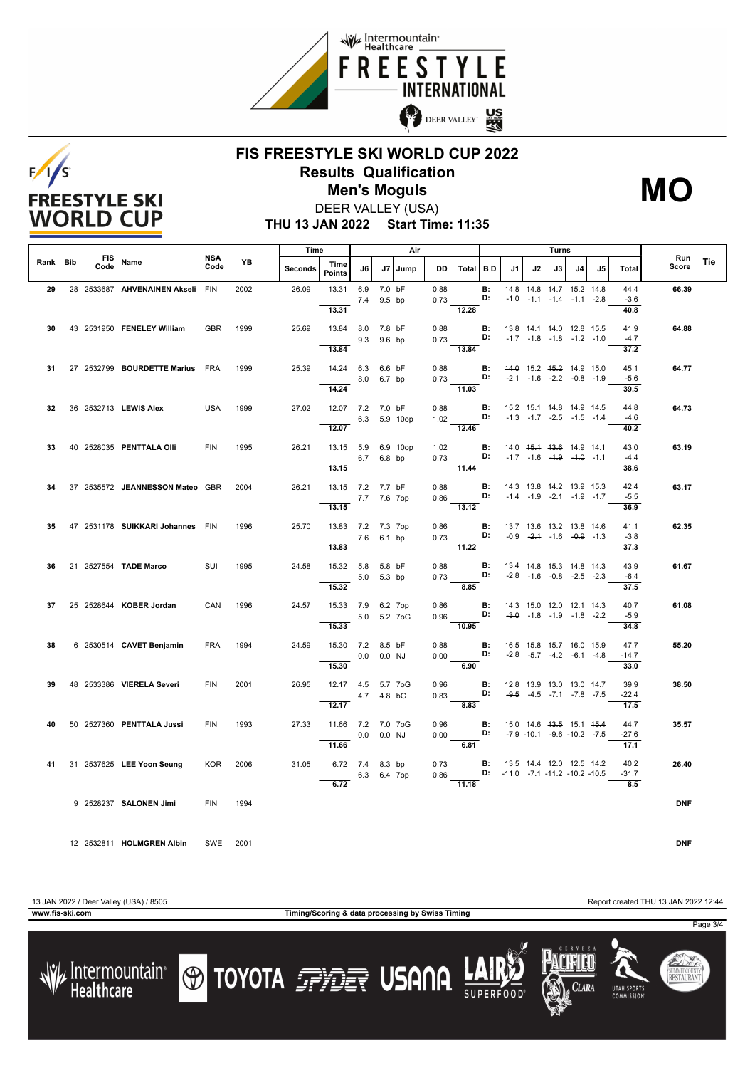





**THU 13 JAN 2022 Start Time: 11:35** DEER VALLEY (USA)

|          |                    |                                  |             |      | Time    |                                          |                 |                          | Air          |              |                                                                                                                               |                      |                          |    | Turns |                                                                                    |    |                         |                     |     |
|----------|--------------------|----------------------------------|-------------|------|---------|------------------------------------------|-----------------|--------------------------|--------------|--------------|-------------------------------------------------------------------------------------------------------------------------------|----------------------|--------------------------|----|-------|------------------------------------------------------------------------------------|----|-------------------------|---------------------|-----|
| Rank Bib | <b>FIS</b><br>Code | Name                             | NSA<br>Code | YB   | Seconds | Time<br><b>Points</b>                    | J6              |                          | J7   Jump    | <b>DD</b>    | Total BD                                                                                                                      |                      | J1                       | J2 | J3    | J4                                                                                 | J5 | Total                   | <b>Run</b><br>Score | Tie |
| 29       |                    | 28 2533687 AHVENAINEN Akseli FIN |             | 2002 | 26.09   | 13.31<br>13.31                           |                 | 6.9 7.0 bF<br>7.4 9.5 bp |              | 0.88<br>0.73 | 12.28                                                                                                                         | B:<br>D:             |                          |    |       | 14.8 14.8 44.7 45.2 14.8<br>$-4.0$ $-1.1$ $-1.4$ $-1.1$ $-2.8$                     |    | 44.4<br>$-3.6$<br>40.8  | 66.39               |     |
| 30       |                    | 43 2531950 FENELEY William       | <b>GBR</b>  | 1999 | 25.69   | 13.84 8.0 7.8 bF                         |                 | 9.3 9.6 bp               |              | 0.88         | $0.73$ D:                                                                                                                     | B:                   |                          |    |       | 13.8 14.1 14.0 42.8 45.5<br>$-1.7$ $-1.8$ $-4.8$ $-1.2$ $-4.0$                     |    | 41.9<br>$-4.7$          | 64.88               |     |
| 31       |                    | 27 2532799 BOURDETTE Marius FRA  |             | 1999 | 25.39   | 13.84<br>14.24 6.3 6.6 bF                |                 |                          |              |              | 13.84<br>0.88 <b>B:</b><br>0.73 <b>D:</b>                                                                                     |                      |                          |    |       | 44.0 15.2 45.2 14.9 15.0                                                           |    | 37.2<br>45.1            | 64.77               |     |
|          |                    |                                  |             |      |         | 14.24                                    |                 | 8.0 6.7 bp               |              |              | $\frac{0.18}{11.03}$                                                                                                          |                      |                          |    |       | $-2.1$ $-1.6$ $-2.2$ $-0.8$ $-1.9$                                                 |    | $-5.6$<br>39.5          |                     |     |
| 32       |                    | 36 2532713 LEWIS Alex            | <b>USA</b>  | 1999 | 27.02   | 12.07 7.2 7.0 bF<br>12.07                |                 |                          | 6.3 5.9 10op | 0.88         | 1.02 <b>D:</b> $-4.3$ $-1.7$ $-2.5$ $-1.5$ $-1.4$<br>$\frac{1}{12.46}$                                                        | <b>B:</b>            | 45.2 15.1 14.8 14.9 44.5 |    |       |                                                                                    |    | 44.8<br>$-4.6$<br>40.2  | 64.73               |     |
| 33.      |                    | 40 2528035 PENTTALA OIII         | FIN         | 1995 | 26.21   | 13.15 5.9 6.9 10op<br>13.15              |                 | 6.7 6.8 bp               |              |              | 1.02 <b>B:</b><br>$0.73$ D:<br>11.44                                                                                          |                      |                          |    |       | 14.0 45.4 43.6 14.9 14.1<br>$-1.7$ $-1.6$ $-4.9$ $-4.0$ $-1.1$                     |    | 43.0<br>$-4.4$<br>38.6  | 63.19               |     |
| 34       |                    | 37 2535572 JEANNESSON Mateo GBR  |             | 2004 | 26.21   | 13.15 7.2 7.7 bF<br>7.7 7.6 7op<br>13.15 |                 |                          |              |              | 0.88 <b>B:</b> 14.3 <del>13.8</del> 14.2 13.9 <del>15.3</del><br>0.86 <b>D:</b> - <del>1.4</del> -1.9 -2.4 -1.9 -1.7<br>13.12 |                      |                          |    |       |                                                                                    |    | 42.4<br>$-5.5$<br>36.9  | 63.17               |     |
| 35       |                    | 47 2531178 SUIKKARI Johannes FIN |             | 1996 | 25.70   | 13.83 7.2 7.3 7op<br>13.83               | 7.6 6.1 bp      |                          |              | 0.86         | $0.73$ D:<br>11.22                                                                                                            | <b>B</b> :           |                          |    |       | 13.7 13.6 43.2 13.8 44.6<br>$-0.9$ $-2.4$ $-1.6$ $-0.9$ $-1.3$                     |    | 41.1<br>$-3.8$<br>37.3  | 62.35               |     |
| 36       |                    | 21 2527554 TADE Marco            | SUI         | 1995 | 24.58   | 15.32 5.8 5.8 bF<br>15.32                |                 | 5.0 5.3 bp               |              | 0.88         | $0.73$ D:<br>8.85                                                                                                             | $\mathbf{B}$ :       |                          |    |       | 43.4 14.8 45.3 14.8 14.3<br>$-2.8$ $-1.6$ $-0.8$ $-2.5$ $-2.3$                     |    | 43.9<br>$-6.4$<br>37.5  | 61.67               |     |
| 37       |                    | 25 2528644 KOBER Jordan          | CAN         | 1996 | 24.57   | 15.33 7.9 6.2 7op<br>15.33               |                 |                          | 5.0 5.2 7 oG | 0.86         | $0.96$ D:<br>10.95                                                                                                            | B:                   |                          |    |       | 14.3 45.0 42.0 12.1 14.3<br>$-3.0$ $-1.8$ $-1.9$ $-4.8$ $-2.2$                     |    | 40.7<br>$-5.9$<br>34.8  | 61.08               |     |
| 38       |                    | 6 2530514 CAVET Benjamin         | <b>FRA</b>  | 1994 | 24.59   | 15.30 7.2 8.5 bF<br>15.30                |                 | $0.0$ $0.0$ NJ           |              | 0.00         | $0.88$ B:<br>D:<br>6.90                                                                                                       |                      |                          |    |       | 46.5 15.8 45.7 16.0 15.9<br>$-2.8$ $-5.7$ $-4.2$ $-6.4$ $-4.8$                     |    | 47.7<br>$-14.7$<br>33.0 | 55.20               |     |
| 39       |                    | 48 2533386 VIERELA Severi        | <b>FIN</b>  | 2001 | 26.95   | 12.17  4.5  5.7  7oG<br>12.17            |                 | 4.7 4.8 bG               |              | 0.96<br>0.83 | 8.83                                                                                                                          | $\blacksquare$<br>D: |                          |    |       | 42.8 13.9 13.0 13.0 44.7<br>$-9.5$ $-4.5$ $-7.1$ $-7.8$ $-7.5$                     |    | 39.9<br>$-22.4$<br>17.5 | 38.50               |     |
| 40       |                    | 50 2527360 PENTTALA Jussi        | <b>FIN</b>  | 1993 | 27.33   | 11.66 7.2 7.0 7oG<br>11.66               |                 | $0.0$ $0.0$ NJ           |              | 0.96<br>0.00 | D:<br>6.81                                                                                                                    | $\blacksquare$       |                          |    |       | 15.0 14.6 <del>13.5</del> 15.1 <del>15.4</del><br>$-7.9 - 10.1 - 9.6 - 10.2 - 7.5$ |    | 44.7<br>$-27.6$<br>17.1 | 35.57               |     |
| 41       |                    | 31 2537625 LEE Yoon Seung        | <b>KOR</b>  | 2006 | 31.05   | 6.3 6.4 7op                              | 6.72 7.4 8.3 bp |                          |              |              | 0.73<br>B: 13.5 44.4 42.0 12.5 14.2<br>0.86<br>D: -11.0 -7.4 -11.2 -10.2 -10.5<br>11.18                                       |                      |                          |    |       |                                                                                    |    | 40.2<br>$-31.7$         | 26.40               |     |
|          |                    | 9 2528237 SALONEN Jimi           | <b>FIN</b>  | 1994 |         | 6.72                                     |                 |                          |              |              |                                                                                                                               |                      |                          |    |       |                                                                                    |    | 8.5                     | <b>DNF</b>          |     |
|          |                    | 12 2532811 HOLMGREN Albin        | SWE         | 2001 |         |                                          |                 |                          |              |              |                                                                                                                               |                      |                          |    |       |                                                                                    |    |                         | <b>DNF</b>          |     |

13 JAN 2022 / Deer Valley (USA) / 8505 Report created THU 13 JAN 2022 12:44









Page 3/4

**www.fis-ski.com Timing/Scoring & data processing by Swiss Timing**